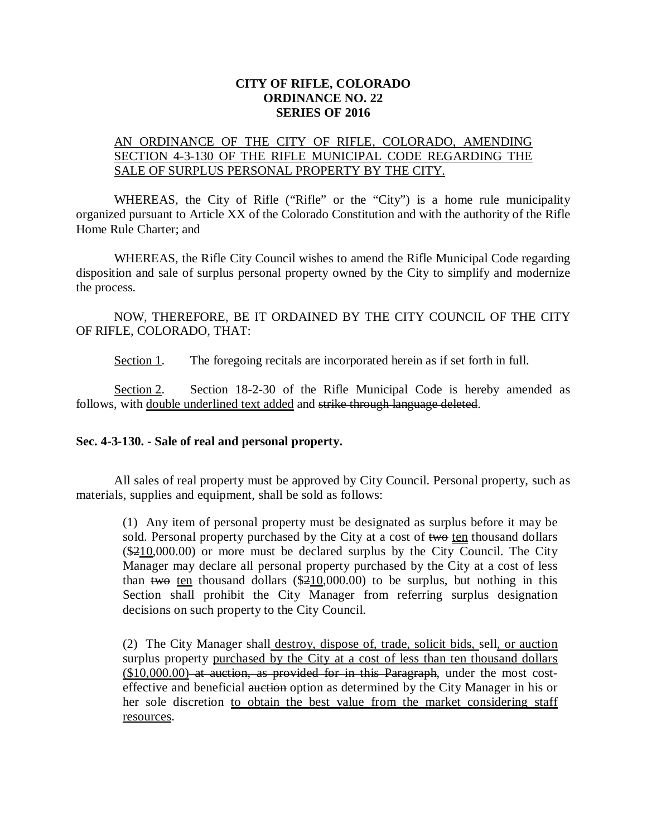## **CITY OF RIFLE, COLORADO ORDINANCE NO. 22 SERIES OF 2016**

## AN ORDINANCE OF THE CITY OF RIFLE, COLORADO, AMENDING SECTION 4-3-130 OF THE RIFLE MUNICIPAL CODE REGARDING THE SALE OF SURPLUS PERSONAL PROPERTY BY THE CITY.

WHEREAS, the City of Rifle ("Rifle" or the "City") is a home rule municipality organized pursuant to Article XX of the Colorado Constitution and with the authority of the Rifle Home Rule Charter; and

WHEREAS, the Rifle City Council wishes to amend the Rifle Municipal Code regarding disposition and sale of surplus personal property owned by the City to simplify and modernize the process.

NOW, THEREFORE, BE IT ORDAINED BY THE CITY COUNCIL OF THE CITY OF RIFLE, COLORADO, THAT:

Section 1. The foregoing recitals are incorporated herein as if set forth in full.

Section 2. Section 18-2-30 of the Rifle Municipal Code is hereby amended as follows, with double underlined text added and strike through language deleted.

## **Sec. 4-3-130. - Sale of real and personal property.**

All sales of real property must be approved by City Council. Personal property, such as materials, supplies and equipment, shall be sold as follows:

(1) Any item of personal property must be designated as surplus before it may be sold. Personal property purchased by the City at a cost of two ten thousand dollars  $($210,000.00)$  or more must be declared surplus by the City Council. The City Manager may declare all personal property purchased by the City at a cost of less than two ten thousand dollars  $(\$210,000.00)$  to be surplus, but nothing in this Section shall prohibit the City Manager from referring surplus designation decisions on such property to the City Council.

(2) The City Manager shall destroy, dispose of, trade, solicit bids, sell, or auction surplus property purchased by the City at a cost of less than ten thousand dollars  $($10,000.00)$  at auction, as provided for in this Paragraph, under the most costeffective and beneficial auction option as determined by the City Manager in his or her sole discretion to obtain the best value from the market considering staff resources.